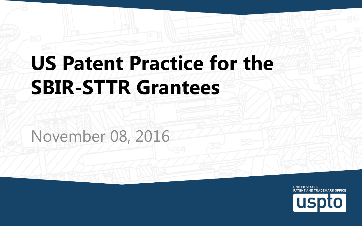#### **US Patent Practice for the SBIR-STTR Grantees**

November 08, 2016

UNITED STATES PATENT AND TRADEMARK OFFICE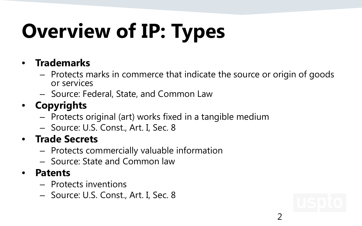# **Overview of IP: Types**

#### • **Trademarks**

- Protects marks in commerce that indicate the source or origin of goods or services
- Source: Federal, State, and Common Law

#### • **Copyrights**

- Protects original (art) works fixed in a tangible medium
- Source: U.S. Const., Art. I, Sec. 8

#### • **Trade Secrets**

- Protects commercially valuable information
- Source: State and Common law

#### • **Patents**

- Protects inventions
- Source: U.S. Const., Art. I, Sec. 8



2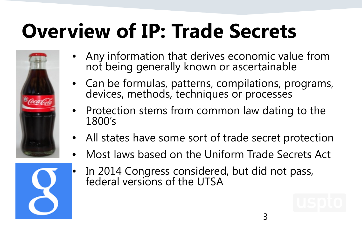#### **Overview of IP: Trade Secrets**



- Any information that derives economic value from not being generally known or ascertainable
- Can be formulas, patterns, compilations, programs, devices, methods, techniques or processes
- Protection stems from common law dating to the 1800's
- All states have some sort of trade secret protection
- Most laws based on the Uniform Trade Secrets Act



• In 2014 Congress considered, but did not pass, federal versions of the UTSA

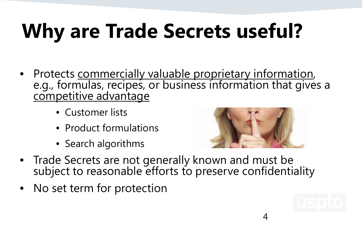## **Why are Trade Secrets useful?**

- Protects commercially valuable proprietary information, e.g., formulas, recipes, or business information that gives a competitive advantage
	- Customer lists
	- Product formulations
	- Search algorithms



4

- Trade Secrets are not generally known and must be subject to reasonable efforts to preserve confidentiality
- No set term for protection

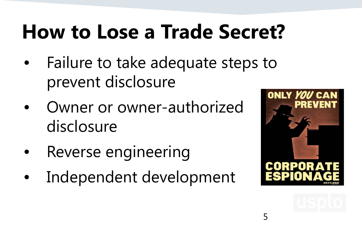#### **How to Lose a Trade Secret?**

- Failure to take adequate steps to prevent disclosure
- Owner or owner-authorized disclosure
- Reverse engineering
- Independent development



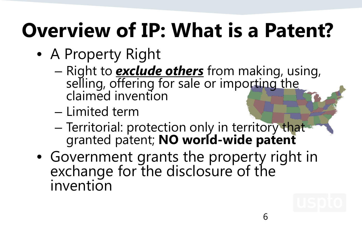#### **Overview of IP: What is a Patent?**

- A Property Right
	- Right to *exclude others* from making, using, selling, offering for sale or importing the claimed invention
	- Limited term
	- Territorial: protection only in territory that granted patent; **NO world-wide patent**
- Government grants the property right in exchange for the disclosure of the invention

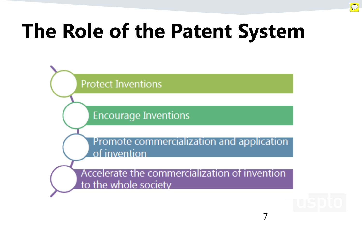#### **The Role of the Patent System**





7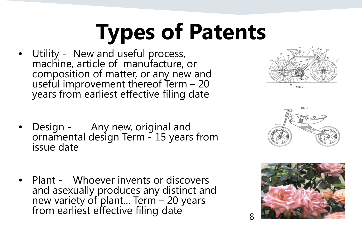# **Types of Patents**

Utility - New and useful process,<br>machine, article of manufacture, or<br>composition of matter, or any new and composition of matter, or any new and<br>useful improvement thereof Term – 20 years from earliest effective filing date





- Design Any new, original and<br>ornamental design Term 15 years from<br>issue date
- Plant Whoever invents or discovers and asexually produces any distinct and new variety of plant... Term – 20 years<br>from earliest effective filing date 8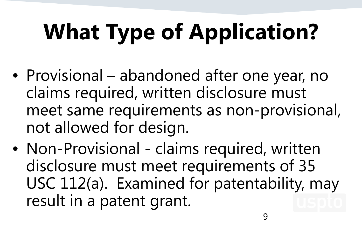# **What Type of Application?**

- Provisional abandoned after one year, no claims required, written disclosure must meet same requirements as non-provisional, not allowed for design.
- Non-Provisional claims required, written disclosure must meet requirements of 35 USC 112(a). Examined for patentability, may result in a patent grant.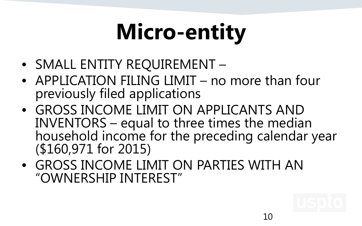# **Micro-entity**

- SMALL ENTITY REQUIREMENT –
- APPLICATION FILING LIMIT no more than four previously filed applications
- GROSS INCOME LIMIT ON APPLICANTS AND INVENTORS – equal to three times the median household income for the preceding calendar year (\$160,971 for 2015)
- GROSS INCOME LIMIT ON PARTIES WITH AN "OWNERSHIP INTEREST"

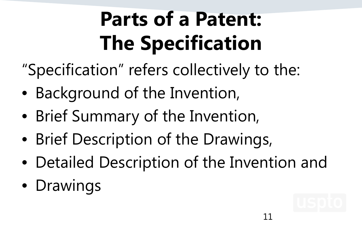### **Parts of a Patent: The Specification**

- "Specification" refers collectively to the:
- Background of the Invention,
- Brief Summary of the Invention,
- Brief Description of the Drawings,
- Detailed Description of the Invention and
- Drawings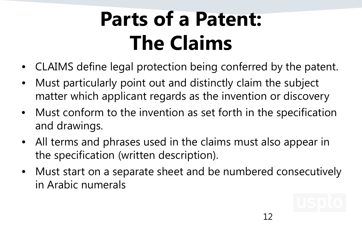#### **Parts of a Patent: The Claims**

- CLAIMS define legal protection being conferred by the patent.
- Must particularly point out and distinctly claim the subject matter which applicant regards as the invention or discovery
- Must conform to the invention as set forth in the specification and drawings.
- All terms and phrases used in the claims must also appear in the specification (written description).
- Must start on a separate sheet and be numbered consecutively in Arabic numerals

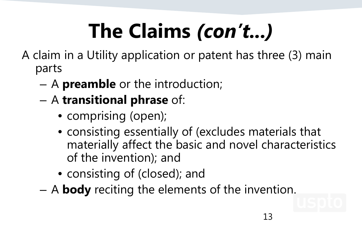## **The Claims** *(con't...)*

A claim in a Utility application or patent has three (3) main parts

- A **preamble** or the introduction;
- A **transitional phrase** of:
	- comprising (open);
	- consisting essentially of (excludes materials that materially affect the basic and novel characteristics of the invention); and
	- consisting of (closed); and
- A **body** reciting the elements of the invention.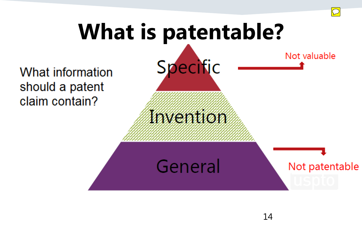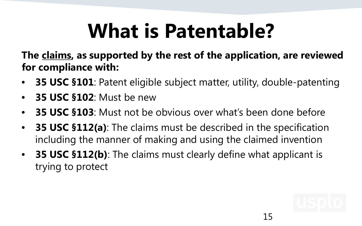#### **What is Patentable?**

**The claims, as supported by the rest of the application, are reviewed for compliance with:**

- **35 USC §101**: Patent eligible subject matter, utility, double-patenting
- **35 USC §102**: Must be new
- **35 USC §103**: Must not be obvious over what's been done before
- **35 USC §112(a)**: The claims must be described in the specification including the manner of making and using the claimed invention
- **35 USC §112(b)**: The claims must clearly define what applicant is trying to protect

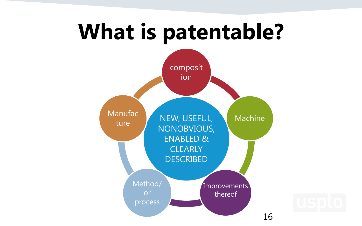#### **What is patentable?**

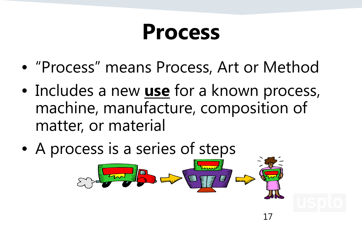#### **Process**

- "Process" means Process, Art or Method
- Includes a new **use** for a known process, machine, manufacture, composition of matter, or material

17

• A process is a series of steps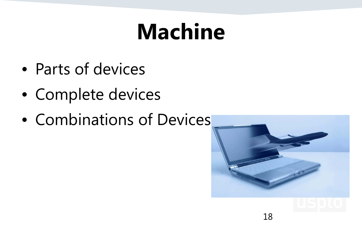### **Machine**

- Parts of devices
- Complete devices
- Combinations of Devices

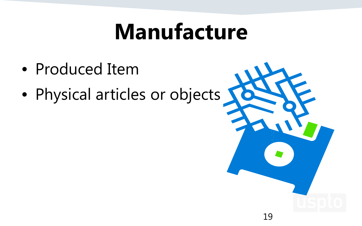#### **Manufacture**

- Produced Item
- Physical articles or objects

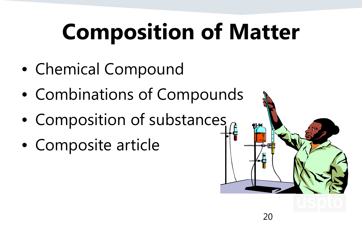# **Composition of Matter**

- Chemical Compound
- Combinations of Compounds
- Composition of substances
- Composite article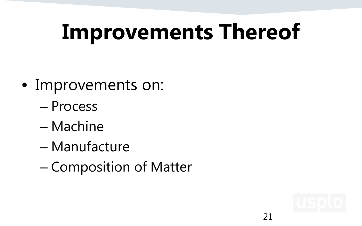## **Improvements Thereof**

- Improvements on:
	- Process
	- Machine
	- Manufacture
	- Composition of Matter

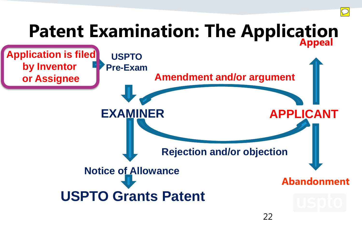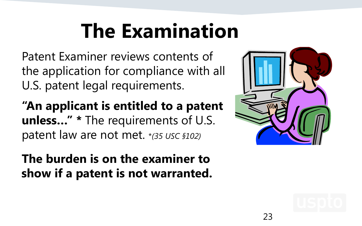#### **The Examination**

Patent Examiner reviews contents of the application for compliance with all U.S. patent legal requirements.

**"An applicant is entitled to a patent unless…" \*** The requirements of U.S. patent law are not met. \**(35 USC §102)*

**The burden is on the examiner to show if a patent is not warranted.**



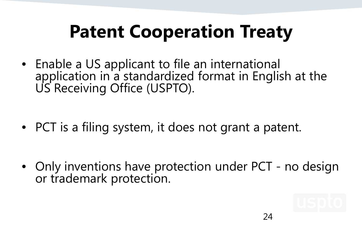#### **Patent Cooperation Treaty**

• Enable a US applicant to file an international application in a standardized format in English at the US Receiving Office (USPTO).

• PCT is a filing system, it does not grant a patent.

• Only inventions have protection under PCT - no design<br>or trademark protection.

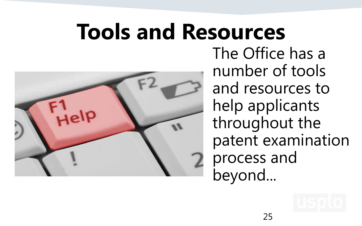#### **Tools and Resources**



The Office has a number of tools and resources to help applicants throughout the patent examination process and beyond...

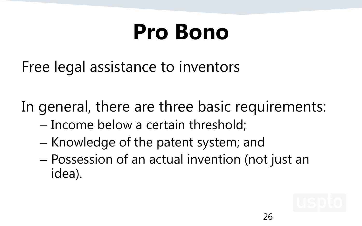### **Pro Bono**

Free legal assistance to inventors

In general, there are three basic requirements:

- Income below a certain threshold;
- Knowledge of the patent system; and
- Possession of an actual invention (not just an idea).

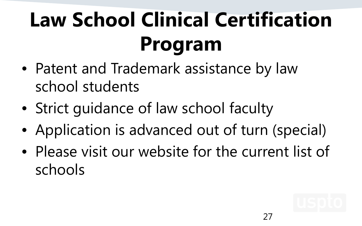## **Law School Clinical Certification Program**

- Patent and Trademark assistance by law school students
- Strict guidance of law school faculty
- Application is advanced out of turn (special)
- Please visit our website for the current list of schools

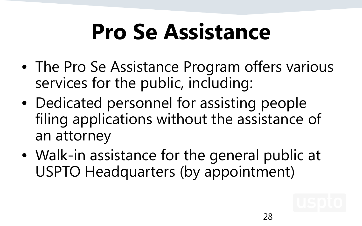## **Pro Se Assistance**

- The Pro Se Assistance Program offers various services for the public, including:
- Dedicated personnel for assisting people filing applications without the assistance of an attorney
- Walk-in assistance for the general public at USPTO Headquarters (by appointment)

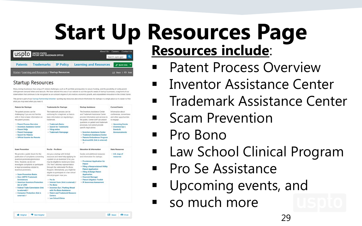#### **Start Up Resources Page Resources include**:

| USPIO BATENT AND TRADEMARK OFFICE |                                                                        |                  | About Lic                     |                  | Careers Contact Us                             |
|-----------------------------------|------------------------------------------------------------------------|------------------|-------------------------------|------------------|------------------------------------------------|
| <b>Patents</b>                    |                                                                        | <b>IP Policy</b> |                               | Search uspto.gov |                                                |
|                                   | <b>Trademarks</b><br>Home / Learning and Resources / Startup Resources |                  | <b>Learning and Resources</b> |                  | O Quick Links V<br><b>Ed Share 1 6th Print</b> |

#### **Startup Resources**

**10 Helpful P** Not Helpful

Many startup businesses face unique IP-related challenges, such as IP portfolio prerequisites to secure funding, and the possibility of costly patent infringement demand letters and lawsuits. We have tailored this area of our website to suit the specific needs of startup businesses, a segment of our stakeholders that continues to be recognized as an outsized engine of job creation, economic growth, and unparalleled innovation in the United States

This portal is part of our Startup Partnership Initiative-putting key resources and critical information for startups in a single place so it's easier to fin what you may need when you need it.

| <b>Patents for Startups</b>                                                                                                                                                                                                                                                                                                                                                                                                                                                      | <b>Trademarks for Startups</b>                                                                                                                                                                                                                                                                                                                                                                                                                                                                                                                           | <b>Startup Assistance</b>                                                                                                                                                                                                                                                                                                                                                             | <b>Current Events</b>                                                                                                                                                            |
|----------------------------------------------------------------------------------------------------------------------------------------------------------------------------------------------------------------------------------------------------------------------------------------------------------------------------------------------------------------------------------------------------------------------------------------------------------------------------------|----------------------------------------------------------------------------------------------------------------------------------------------------------------------------------------------------------------------------------------------------------------------------------------------------------------------------------------------------------------------------------------------------------------------------------------------------------------------------------------------------------------------------------------------------------|---------------------------------------------------------------------------------------------------------------------------------------------------------------------------------------------------------------------------------------------------------------------------------------------------------------------------------------------------------------------------------------|----------------------------------------------------------------------------------------------------------------------------------------------------------------------------------|
| The patent process can be<br>challenging if you are not familiar<br>with it. Here is basic information on<br>the patent process.<br>· Patent Process Overview<br>· Inventors Assistance Center<br>· Patent FAOs<br>· Patent Homepage<br>· Search for Patents<br>. Official Gazette for Patents                                                                                                                                                                                   | The trademark process can be<br>confusing for a beginner, so here is<br>basic information on registering a<br>tracemark.<br>· Trademark Basics<br>· Search for Trademarks<br>· Filing online<br>· Trademark Homepage                                                                                                                                                                                                                                                                                                                                     | The Inventors Assistance Center<br>and Trademark Assistance Center<br>provide information and services to<br>the public. Center staff can answer<br>questions on patent and trademark<br>processes, but cannot provide<br>specific legal advice.<br>· Inventors Assistance Center<br>· Trademark Assistance Center<br>· Patents Ombudsman Program<br>- BusinessUSA (link is external) | Information about<br>conferences, convertions.<br>and other opportunities<br>to engage.<br>· Upcoming Events<br>· Inventors Eye  <br><b>Events &amp;</b><br><b>Announcements</b> |
| <b>Scam Prevention</b>                                                                                                                                                                                                                                                                                                                                                                                                                                                           | Pro Se - Pro Bene                                                                                                                                                                                                                                                                                                                                                                                                                                                                                                                                        | <b>Education &amp; Information</b>                                                                                                                                                                                                                                                                                                                                                    | <b>State Resources</b>                                                                                                                                                           |
| We provide a public forum for the<br>publication of complaints concerning<br>invention promoters/promotion<br>firms. However, we do not<br>investigate complaints or participate<br>in legal proceedings related to<br>invention promoters.<br>· Scam Prevention Basics<br>· Non-USPTO Trademark<br>Solicitations<br>· American Inventors Protection<br><b>Act of 1999</b><br>· Federal Trade Commission (link)<br>is external)<br>· Consumer Protection (link is<br>external) @ | Are you a startup with limited<br>resources and need help applying for<br>a patent on an invention? If so, you<br>may be eligible to receive pro bono<br>('for free') attorney representation<br>through the nationwide Pro Bong<br>Program. Alternatively, you might be<br>eligible to participate in a law school<br>clinical program near you.<br>$-2565c$<br>· Interest Form (link is external) @<br>· Pro Bono<br>. Inventors Eye   Pushing Ahead<br>with Pro Bono Assistance<br>· Patent and Trademark Resource<br>Centers<br>· Law School Clinics | Guides and additional resources<br>and information for startups.<br>- Provisional Application for<br>Patent<br>· Filing a Nonprovisional Utility<br><b>Patent Application</b><br>· Filing A Design Patent<br>Application<br>· Financial Manager<br>· Patent Litigation Toolkit<br>· IP Awareness Assessment                                                                           | - U.S. map of<br>resources                                                                                                                                                       |

Share **D** Print

#### Patent Process Overview

- **Inventor Assistance Center**
- **Trademark Assistance Center**
- **Scam Prevention**
- Pro Bono
- Law School Clinical Program
- Pro Se Assistance
	- Upcoming events, and
	- so much more